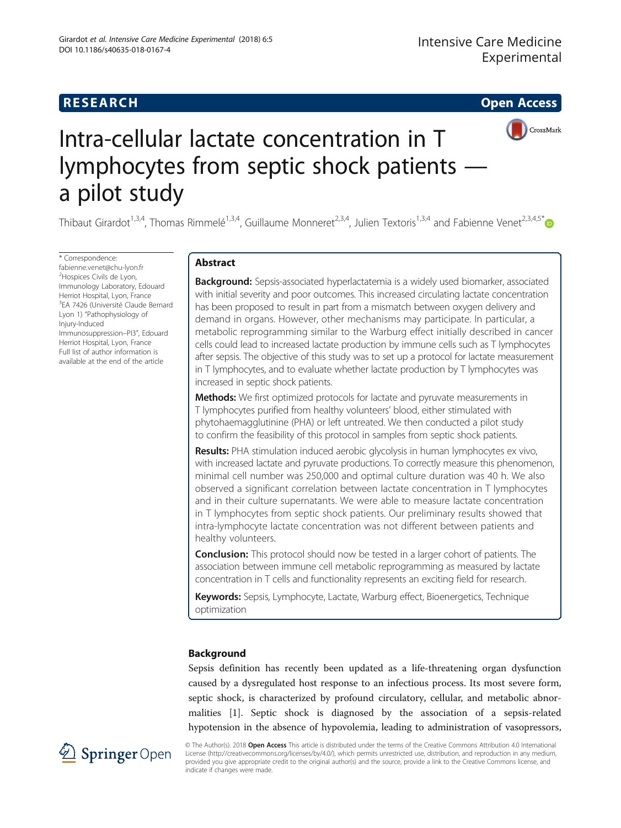# **RESEARCH RESEARCH CONSUMING ACCESS**



# Intra-cellular lactate concentration in T lymphocytes from septic shock patients a pilot study

Thibaut Girardot<sup>1,3,4</sup>, Thomas Rimmelé<sup>1,3,4</sup>, Guillaume Monneret<sup>2,3,4</sup>, Julien Textoris<sup>1,3,4</sup> and Fabienne Venet<sup>2,3,4,5\*</sup>

\* Correspondence: [fabienne.venet@chu-lyon.fr](mailto:fabienne.venet@chu-lyon.fr) <sup>2</sup>Hospices Civils de Lyon, Immunology Laboratory, Edouard Herriot Hospital, Lyon, France <sup>3</sup>EA 7426 (Université Claude Bernard Lyon 1) "Pathophysiology of Injury-Induced Immunosuppression–PI3", Edouard Herriot Hospital, Lyon, France Full list of author information is available at the end of the article

# Abstract

**Background:** Sepsis-associated hyperlactatemia is a widely used biomarker, associated with initial severity and poor outcomes. This increased circulating lactate concentration has been proposed to result in part from a mismatch between oxygen delivery and demand in organs. However, other mechanisms may participate. In particular, a metabolic reprogramming similar to the Warburg effect initially described in cancer cells could lead to increased lactate production by immune cells such as T lymphocytes after sepsis. The objective of this study was to set up a protocol for lactate measurement in T lymphocytes, and to evaluate whether lactate production by T lymphocytes was increased in septic shock patients.

**Methods:** We first optimized protocols for lactate and pyruvate measurements in T lymphocytes purified from healthy volunteers' blood, either stimulated with phytohaemagglutinine (PHA) or left untreated. We then conducted a pilot study to confirm the feasibility of this protocol in samples from septic shock patients.

Results: PHA stimulation induced aerobic glycolysis in human lymphocytes ex vivo, with increased lactate and pyruvate productions. To correctly measure this phenomenon, minimal cell number was 250,000 and optimal culture duration was 40 h. We also observed a significant correlation between lactate concentration in T lymphocytes and in their culture supernatants. We were able to measure lactate concentration in T lymphocytes from septic shock patients. Our preliminary results showed that intra-lymphocyte lactate concentration was not different between patients and healthy volunteers.

**Conclusion:** This protocol should now be tested in a larger cohort of patients. The association between immune cell metabolic reprogramming as measured by lactate concentration in T cells and functionality represents an exciting field for research.

Keywords: Sepsis, Lymphocyte, Lactate, Warburg effect, Bioenergetics, Technique optimization

# Background

Sepsis definition has recently been updated as a life-threatening organ dysfunction caused by a dysregulated host response to an infectious process. Its most severe form, septic shock, is characterized by profound circulatory, cellular, and metabolic abnormalities [\[1\]](#page-12-0). Septic shock is diagnosed by the association of a sepsis-related hypotension in the absence of hypovolemia, leading to administration of vasopressors,



© The Author(s). 2018 Open Access This article is distributed under the terms of the Creative Commons Attribution 4.0 International License [\(http://creativecommons.org/licenses/by/4.0/](http://creativecommons.org/licenses/by/4.0/)), which permits unrestricted use, distribution, and reproduction in any medium, provided you give appropriate credit to the original author(s) and the source, provide a link to the Creative Commons license, and indicate if changes were made.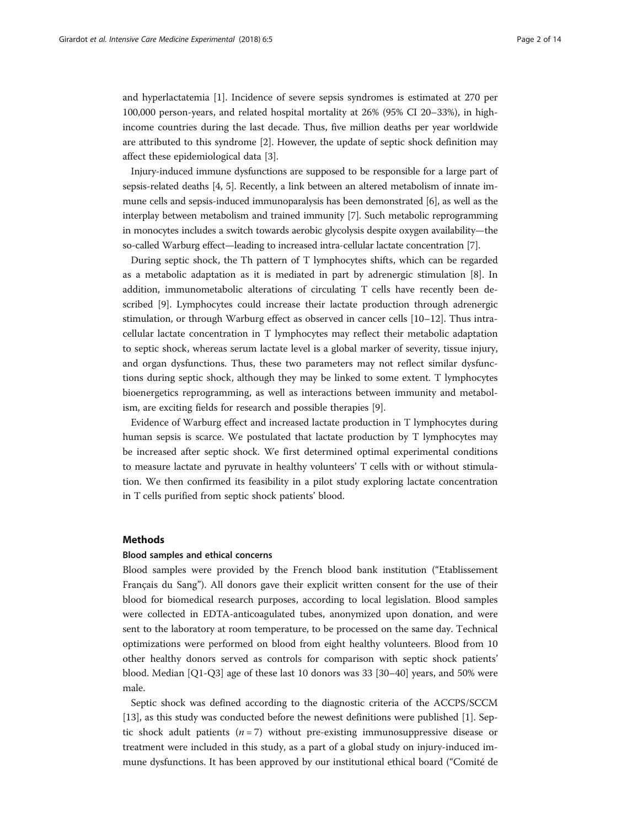and hyperlactatemia [\[1\]](#page-12-0). Incidence of severe sepsis syndromes is estimated at 270 per 100,000 person-years, and related hospital mortality at 26% (95% CI 20–33%), in highincome countries during the last decade. Thus, five million deaths per year worldwide are attributed to this syndrome [\[2](#page-12-0)]. However, the update of septic shock definition may affect these epidemiological data [[3\]](#page-12-0).

Injury-induced immune dysfunctions are supposed to be responsible for a large part of sepsis-related deaths [[4](#page-12-0), [5\]](#page-12-0). Recently, a link between an altered metabolism of innate immune cells and sepsis-induced immunoparalysis has been demonstrated [[6\]](#page-12-0), as well as the interplay between metabolism and trained immunity [[7](#page-12-0)]. Such metabolic reprogramming in monocytes includes a switch towards aerobic glycolysis despite oxygen availability—the so-called Warburg effect—leading to increased intra-cellular lactate concentration [[7\]](#page-12-0).

During septic shock, the Th pattern of T lymphocytes shifts, which can be regarded as a metabolic adaptation as it is mediated in part by adrenergic stimulation [\[8](#page-12-0)]. In addition, immunometabolic alterations of circulating T cells have recently been described [[9](#page-12-0)]. Lymphocytes could increase their lactate production through adrenergic stimulation, or through Warburg effect as observed in cancer cells [\[10](#page-12-0)–[12\]](#page-12-0). Thus intracellular lactate concentration in T lymphocytes may reflect their metabolic adaptation to septic shock, whereas serum lactate level is a global marker of severity, tissue injury, and organ dysfunctions. Thus, these two parameters may not reflect similar dysfunctions during septic shock, although they may be linked to some extent. T lymphocytes bioenergetics reprogramming, as well as interactions between immunity and metabolism, are exciting fields for research and possible therapies [[9\]](#page-12-0).

Evidence of Warburg effect and increased lactate production in T lymphocytes during human sepsis is scarce. We postulated that lactate production by T lymphocytes may be increased after septic shock. We first determined optimal experimental conditions to measure lactate and pyruvate in healthy volunteers' T cells with or without stimulation. We then confirmed its feasibility in a pilot study exploring lactate concentration in T cells purified from septic shock patients' blood.

# Methods

# Blood samples and ethical concerns

Blood samples were provided by the French blood bank institution ("Etablissement Français du Sang"). All donors gave their explicit written consent for the use of their blood for biomedical research purposes, according to local legislation. Blood samples were collected in EDTA-anticoagulated tubes, anonymized upon donation, and were sent to the laboratory at room temperature, to be processed on the same day. Technical optimizations were performed on blood from eight healthy volunteers. Blood from 10 other healthy donors served as controls for comparison with septic shock patients' blood. Median [Q1-Q3] age of these last 10 donors was 33 [30–40] years, and 50% were male.

Septic shock was defined according to the diagnostic criteria of the ACCPS/SCCM [[13\]](#page-12-0), as this study was conducted before the newest definitions were published [\[1](#page-12-0)]. Septic shock adult patients  $(n = 7)$  without pre-existing immunosuppressive disease or treatment were included in this study, as a part of a global study on injury-induced immune dysfunctions. It has been approved by our institutional ethical board ("Comité de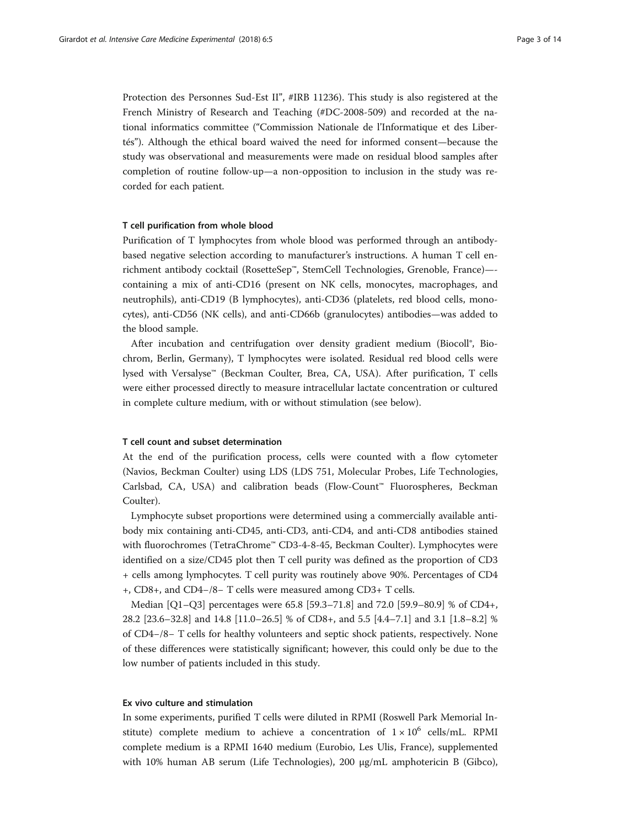Protection des Personnes Sud-Est II", #IRB 11236). This study is also registered at the French Ministry of Research and Teaching (#DC-2008-509) and recorded at the national informatics committee ("Commission Nationale de l'Informatique et des Libertés"). Although the ethical board waived the need for informed consent—because the study was observational and measurements were made on residual blood samples after completion of routine follow-up—a non-opposition to inclusion in the study was recorded for each patient.

# T cell purification from whole blood

Purification of T lymphocytes from whole blood was performed through an antibodybased negative selection according to manufacturer's instructions. A human T cell enrichment antibody cocktail (RosetteSep™, StemCell Technologies, Grenoble, France)— containing a mix of anti-CD16 (present on NK cells, monocytes, macrophages, and neutrophils), anti-CD19 (B lymphocytes), anti-CD36 (platelets, red blood cells, monocytes), anti-CD56 (NK cells), and anti-CD66b (granulocytes) antibodies—was added to the blood sample.

After incubation and centrifugation over density gradient medium (Biocoll®, Biochrom, Berlin, Germany), T lymphocytes were isolated. Residual red blood cells were lysed with Versalyse™ (Beckman Coulter, Brea, CA, USA). After purification, T cells were either processed directly to measure intracellular lactate concentration or cultured in complete culture medium, with or without stimulation (see below).

# T cell count and subset determination

At the end of the purification process, cells were counted with a flow cytometer (Navios, Beckman Coulter) using LDS (LDS 751, Molecular Probes, Life Technologies, Carlsbad, CA, USA) and calibration beads (Flow-Count™ Fluorospheres, Beckman Coulter).

Lymphocyte subset proportions were determined using a commercially available antibody mix containing anti-CD45, anti-CD3, anti-CD4, and anti-CD8 antibodies stained with fluorochromes (TetraChrome™ CD3-4-8-45, Beckman Coulter). Lymphocytes were identified on a size/CD45 plot then T cell purity was defined as the proportion of CD3 + cells among lymphocytes. T cell purity was routinely above 90%. Percentages of CD4 +, CD8+, and CD4−/8− T cells were measured among CD3+ T cells.

Median [Q1–Q3] percentages were 65.8 [59.3–71.8] and 72.0 [59.9–80.9] % of CD4+, 28.2 [23.6–32.8] and 14.8 [11.0–26.5] % of CD8+, and 5.5 [4.4–7.1] and 3.1 [1.8–8.2] % of CD4−/8− T cells for healthy volunteers and septic shock patients, respectively. None of these differences were statistically significant; however, this could only be due to the low number of patients included in this study.

# Ex vivo culture and stimulation

In some experiments, purified T cells were diluted in RPMI (Roswell Park Memorial Institute) complete medium to achieve a concentration of  $1 \times 10^6$  cells/mL. RPMI complete medium is a RPMI 1640 medium (Eurobio, Les Ulis, France), supplemented with 10% human AB serum (Life Technologies), 200 μg/mL amphotericin B (Gibco),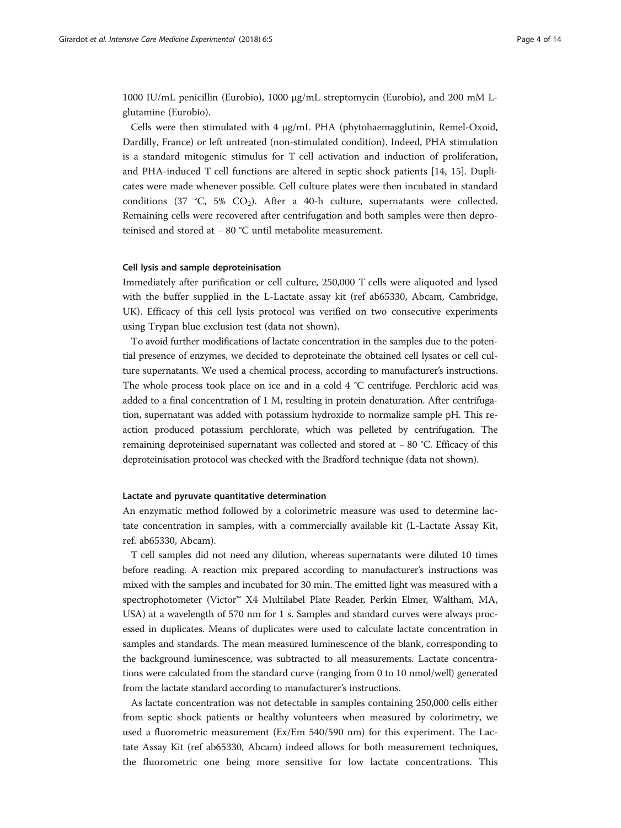1000 IU/mL penicillin (Eurobio), 1000 μg/mL streptomycin (Eurobio), and 200 mM Lglutamine (Eurobio).

Cells were then stimulated with 4 μg/mL PHA (phytohaemagglutinin, Remel-Oxoid, Dardilly, France) or left untreated (non-stimulated condition). Indeed, PHA stimulation is a standard mitogenic stimulus for T cell activation and induction of proliferation, and PHA-induced T cell functions are altered in septic shock patients [[14, 15](#page-12-0)]. Duplicates were made whenever possible. Cell culture plates were then incubated in standard conditions (37 °C, 5%  $CO<sub>2</sub>$ ). After a 40-h culture, supernatants were collected. Remaining cells were recovered after centrifugation and both samples were then deproteinised and stored at − 80 °C until metabolite measurement.

# Cell lysis and sample deproteinisation

Immediately after purification or cell culture, 250,000 T cells were aliquoted and lysed with the buffer supplied in the L-Lactate assay kit (ref ab65330, Abcam, Cambridge, UK). Efficacy of this cell lysis protocol was verified on two consecutive experiments using Trypan blue exclusion test (data not shown).

To avoid further modifications of lactate concentration in the samples due to the potential presence of enzymes, we decided to deproteinate the obtained cell lysates or cell culture supernatants. We used a chemical process, according to manufacturer's instructions. The whole process took place on ice and in a cold 4 °C centrifuge. Perchloric acid was added to a final concentration of 1 M, resulting in protein denaturation. After centrifugation, supernatant was added with potassium hydroxide to normalize sample pH. This reaction produced potassium perchlorate, which was pelleted by centrifugation. The remaining deproteinised supernatant was collected and stored at − 80 °C. Efficacy of this deproteinisation protocol was checked with the Bradford technique (data not shown).

# Lactate and pyruvate quantitative determination

An enzymatic method followed by a colorimetric measure was used to determine lactate concentration in samples, with a commercially available kit (L-Lactate Assay Kit, ref. ab65330, Abcam).

T cell samples did not need any dilution, whereas supernatants were diluted 10 times before reading. A reaction mix prepared according to manufacturer's instructions was mixed with the samples and incubated for 30 min. The emitted light was measured with a spectrophotometer (Victor™ X4 Multilabel Plate Reader, Perkin Elmer, Waltham, MA, USA) at a wavelength of 570 nm for 1 s. Samples and standard curves were always processed in duplicates. Means of duplicates were used to calculate lactate concentration in samples and standards. The mean measured luminescence of the blank, corresponding to the background luminescence, was subtracted to all measurements. Lactate concentrations were calculated from the standard curve (ranging from 0 to 10 nmol/well) generated from the lactate standard according to manufacturer's instructions.

As lactate concentration was not detectable in samples containing 250,000 cells either from septic shock patients or healthy volunteers when measured by colorimetry, we used a fluorometric measurement (Ex/Em 540/590 nm) for this experiment. The Lactate Assay Kit (ref ab65330, Abcam) indeed allows for both measurement techniques, the fluorometric one being more sensitive for low lactate concentrations. This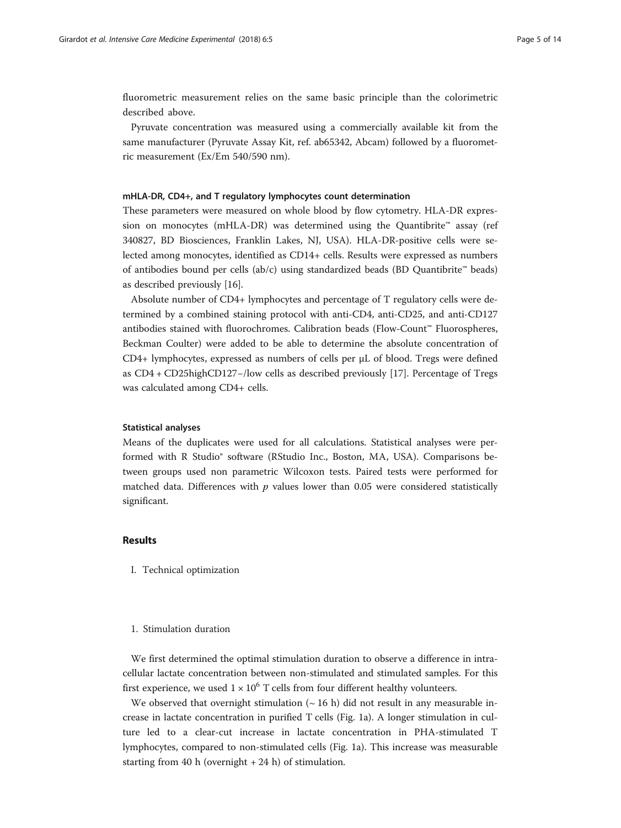fluorometric measurement relies on the same basic principle than the colorimetric described above.

Pyruvate concentration was measured using a commercially available kit from the same manufacturer (Pyruvate Assay Kit, ref. ab65342, Abcam) followed by a fluorometric measurement (Ex/Em 540/590 nm).

# mHLA-DR, CD4+, and T regulatory lymphocytes count determination

These parameters were measured on whole blood by flow cytometry. HLA-DR expression on monocytes (mHLA-DR) was determined using the Quantibrite™ assay (ref 340827, BD Biosciences, Franklin Lakes, NJ, USA). HLA-DR-positive cells were selected among monocytes, identified as CD14+ cells. Results were expressed as numbers of antibodies bound per cells (ab/c) using standardized beads (BD Quantibrite™ beads) as described previously [\[16](#page-12-0)].

Absolute number of CD4+ lymphocytes and percentage of T regulatory cells were determined by a combined staining protocol with anti-CD4, anti-CD25, and anti-CD127 antibodies stained with fluorochromes. Calibration beads (Flow-Count™ Fluorospheres, Beckman Coulter) were added to be able to determine the absolute concentration of CD4+ lymphocytes, expressed as numbers of cells per μL of blood. Tregs were defined as CD4 + CD25highCD127−/low cells as described previously [\[17\]](#page-13-0). Percentage of Tregs was calculated among CD4+ cells.

# Statistical analyses

Means of the duplicates were used for all calculations. Statistical analyses were performed with R Studio® software (RStudio Inc., Boston, MA, USA). Comparisons between groups used non parametric Wilcoxon tests. Paired tests were performed for matched data. Differences with  $p$  values lower than 0.05 were considered statistically significant.

# Results

I. Technical optimization

# 1. Stimulation duration

We first determined the optimal stimulation duration to observe a difference in intracellular lactate concentration between non-stimulated and stimulated samples. For this first experience, we used  $1 \times 10^6$  T cells from four different healthy volunteers.

We observed that overnight stimulation  $($   $\sim$  16 h) did not result in any measurable increase in lactate concentration in purified T cells (Fig. [1a](#page-5-0)). A longer stimulation in culture led to a clear-cut increase in lactate concentration in PHA-stimulated T lymphocytes, compared to non-stimulated cells (Fig. [1](#page-5-0)a). This increase was measurable starting from 40 h (overnight  $+ 24$  h) of stimulation.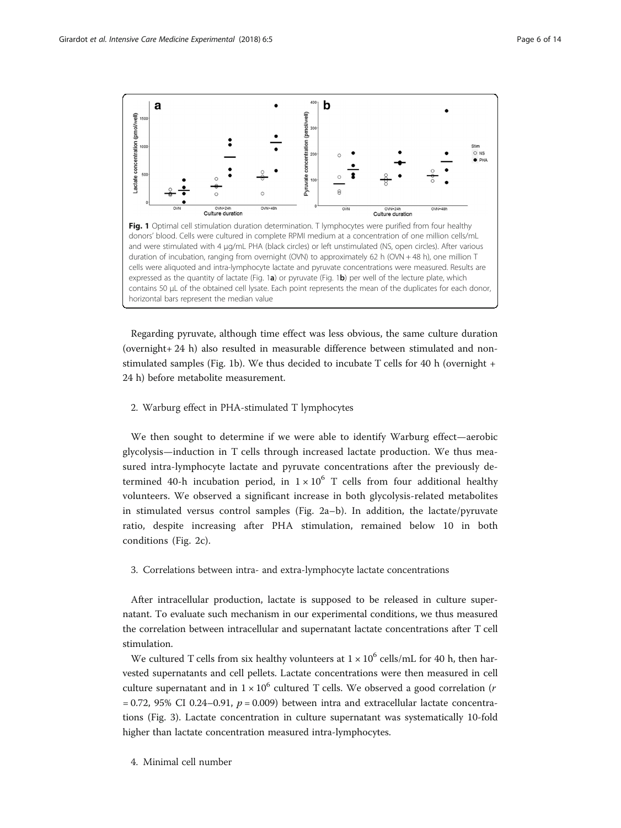<span id="page-5-0"></span>

Regarding pyruvate, although time effect was less obvious, the same culture duration (overnight+ 24 h) also resulted in measurable difference between stimulated and nonstimulated samples (Fig. 1b). We thus decided to incubate T cells for 40 h (overnight + 24 h) before metabolite measurement.

# 2. Warburg effect in PHA-stimulated T lymphocytes

We then sought to determine if we were able to identify Warburg effect—aerobic glycolysis—induction in T cells through increased lactate production. We thus measured intra-lymphocyte lactate and pyruvate concentrations after the previously determined 40-h incubation period, in  $1 \times 10^6$  T cells from four additional healthy volunteers. We observed a significant increase in both glycolysis-related metabolites in stimulated versus control samples (Fig. [2](#page-7-0)a–b). In addition, the lactate/pyruvate ratio, despite increasing after PHA stimulation, remained below 10 in both conditions (Fig. [2](#page-7-0)c).

# 3. Correlations between intra- and extra-lymphocyte lactate concentrations

After intracellular production, lactate is supposed to be released in culture supernatant. To evaluate such mechanism in our experimental conditions, we thus measured the correlation between intracellular and supernatant lactate concentrations after T cell stimulation.

We cultured T cells from six healthy volunteers at  $1 \times 10^6$  cells/mL for 40 h, then harvested supernatants and cell pellets. Lactate concentrations were then measured in cell culture supernatant and in  $1 \times 10^6$  cultured T cells. We observed a good correlation (*r*  $= 0.72$ , 95% CI 0.24–0.91,  $p = 0.009$ ) between intra and extracellular lactate concentrations (Fig. [3](#page-7-0)). Lactate concentration in culture supernatant was systematically 10-fold higher than lactate concentration measured intra-lymphocytes.

4. Minimal cell number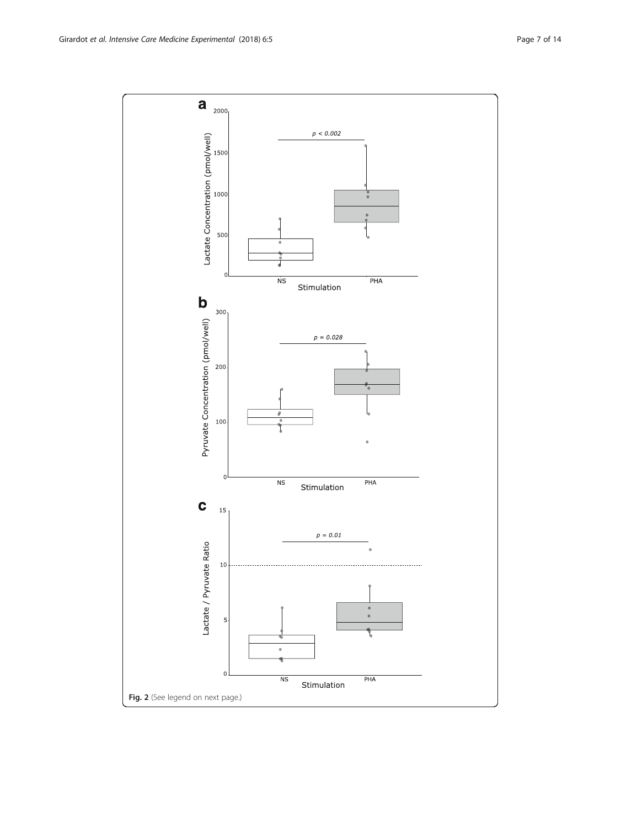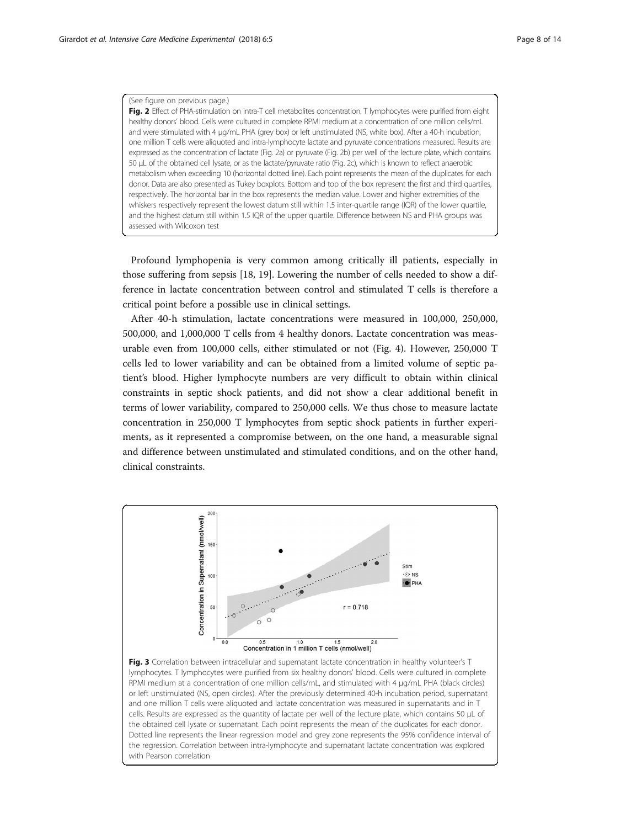### <span id="page-7-0"></span>(See figure on previous page.)

Fig. 2 Effect of PHA-stimulation on intra-T cell metabolites concentration. T lymphocytes were purified from eight healthy donors' blood. Cells were cultured in complete RPMI medium at a concentration of one million cells/mL and were stimulated with 4 μg/mL PHA (grey box) or left unstimulated (NS, white box). After a 40-h incubation, one million T cells were aliquoted and intra-lymphocyte lactate and pyruvate concentrations measured. Results are expressed as the concentration of lactate (Fig. 2a) or pyruvate (Fig. 2b) per well of the lecture plate, which contains 50 μL of the obtained cell lysate, or as the lactate/pyruvate ratio (Fig. 2c), which is known to reflect anaerobic metabolism when exceeding 10 (horizontal dotted line). Each point represents the mean of the duplicates for each donor. Data are also presented as Tukey boxplots. Bottom and top of the box represent the first and third quartiles, respectively. The horizontal bar in the box represents the median value. Lower and higher extremities of the whiskers respectively represent the lowest datum still within 1.5 inter-quartile range (IQR) of the lower quartile, and the highest datum still within 1.5 IQR of the upper quartile. Difference between NS and PHA groups was assessed with Wilcoxon test

Profound lymphopenia is very common among critically ill patients, especially in those suffering from sepsis [\[18, 19\]](#page-13-0). Lowering the number of cells needed to show a difference in lactate concentration between control and stimulated T cells is therefore a critical point before a possible use in clinical settings.

After 40-h stimulation, lactate concentrations were measured in 100,000, 250,000, 500,000, and 1,000,000 T cells from 4 healthy donors. Lactate concentration was measurable even from 100,000 cells, either stimulated or not (Fig. [4](#page-8-0)). However, 250,000 T cells led to lower variability and can be obtained from a limited volume of septic patient's blood. Higher lymphocyte numbers are very difficult to obtain within clinical constraints in septic shock patients, and did not show a clear additional benefit in terms of lower variability, compared to 250,000 cells. We thus chose to measure lactate concentration in 250,000 T lymphocytes from septic shock patients in further experiments, as it represented a compromise between, on the one hand, a measurable signal and difference between unstimulated and stimulated conditions, and on the other hand, clinical constraints.

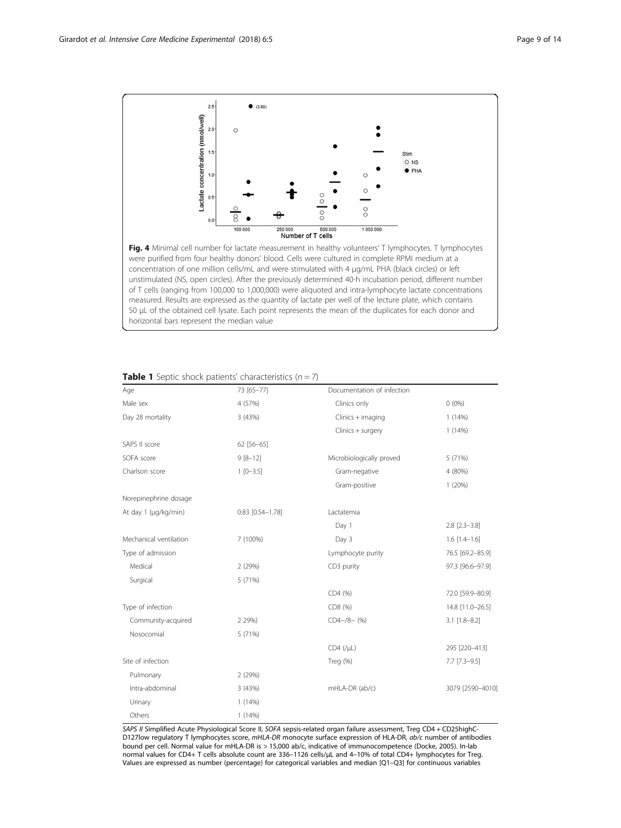<span id="page-8-0"></span>

concentration of one million cells/mL and were stimulated with 4 μg/mL PHA (black circles) or left unstimulated (NS, open circles). After the previously determined 40-h incubation period, different number of T cells (ranging from 100,000 to 1,000,000) were aliquoted and intra-lymphocyte lactate concentrations measured. Results are expressed as the quantity of lactate per well of the lecture plate, which contains 50 μL of the obtained cell lysate. Each point represents the mean of the duplicates for each donor and horizontal bars represent the median value

| Age                    | 73 [65-77]             | Documentation of infection |                       |
|------------------------|------------------------|----------------------------|-----------------------|
| Male sex               | 4 (57%)                | Clinics only               | $0(0\%)$              |
| Day 28 mortality       | 3 (43%)                | Clinics + imaging          | 1(14%)                |
|                        |                        | Clinics + surgery          | 1(14%)                |
| SAPS II score          | 62 [56-65]             |                            |                       |
| SOFA score             | $9[8-12]$              | Microbiologically proved   | 5 (71%)               |
| Charlson score         | $1 [0 - 3.5]$          | Gram-negative              | 4 (80%)               |
|                        |                        | Gram-positive              | 1(20%)                |
| Norepinephrine dosage  |                        |                            |                       |
| At day 1 (µg/kg/min)   | $0.83$ $[0.54 - 1.78]$ | Lactatemia                 |                       |
|                        |                        | Day 1                      | $2.8$ [ $2.3 - 3.8$ ] |
| Mechanical ventilation | 7 (100%)               | Day 3                      | $1.6$ [1.4-1.6]       |
| Type of admission      |                        | Lymphocyte purity          | 76.5 [69.2-85.9]      |
| Medical                | 2(29%)                 | CD3 purity                 | 97.3 [96.6-97.9]      |
| Surgical               | 5 (71%)                |                            |                       |
|                        |                        | CD4 (%)                    | 72.0 [59.9-80.9]      |
| Type of infection      |                        | CD8 (%)                    | 14.8 [11.0-26.5]      |
| Community-acquired     | 2 29%)                 | $CD4 - /8 - (%)$           | $3.1$ [1.8-8.2]       |
| Nosocomial             | 5 (71%)                |                            |                       |
|                        |                        | $CD4$ (/ $\mu$ L)          | 295 [220-413]         |
| Site of infection      |                        | Treg (%)                   | $7.7$ $[7.3 - 9.5]$   |
| Pulmonary              | 2 (29%)                |                            |                       |
| Intra-abdominal        | 3 (43%)                | mHLA-DR (ab/c)             | 3079 [2590-4010]      |
| Urinary                | 1(14%)                 |                            |                       |
| Others                 | 1(14%)                 |                            |                       |

# **Table 1** Septic shock patients' characteristics  $(n = 7)$

SAPS II Simplified Acute Physiological Score II, SOFA sepsis-related organ failure assessment, Treg CD4 + CD25highC-D127low regulatory T lymphocytes score, mHLA-DR monocyte surface expression of HLA-DR, ab/c number of antibodies bound per cell. Normal value for mHLA-DR is > 15,000 ab/c, indicative of immunocompetence (Docke, 2005). In-lab normal values for CD4+ T cells absolute count are 336–1126 cells/μL and 4–10% of total CD4+ lymphocytes for Treg. Values are expressed as number (percentage) for categorical variables and median [Q1–Q3] for continuous variables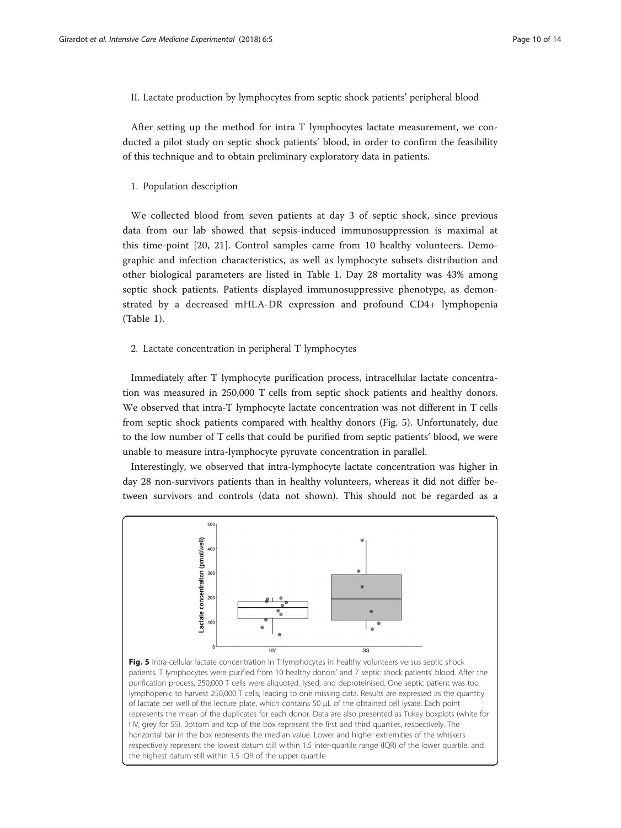II. Lactate production by lymphocytes from septic shock patients' peripheral blood

After setting up the method for intra T lymphocytes lactate measurement, we conducted a pilot study on septic shock patients' blood, in order to confirm the feasibility of this technique and to obtain preliminary exploratory data in patients.

1. Population description

We collected blood from seven patients at day 3 of septic shock, since previous data from our lab showed that sepsis-induced immunosuppression is maximal at this time-point [[20](#page-13-0), [21\]](#page-13-0). Control samples came from 10 healthy volunteers. Demographic and infection characteristics, as well as lymphocyte subsets distribution and other biological parameters are listed in Table [1.](#page-8-0) Day 28 mortality was 43% among septic shock patients. Patients displayed immunosuppressive phenotype, as demonstrated by a decreased mHLA-DR expression and profound CD4+ lymphopenia (Table [1](#page-8-0)).

# 2. Lactate concentration in peripheral T lymphocytes

Immediately after T lymphocyte purification process, intracellular lactate concentration was measured in 250,000 T cells from septic shock patients and healthy donors. We observed that intra-T lymphocyte lactate concentration was not different in T cells from septic shock patients compared with healthy donors (Fig. 5). Unfortunately, due to the low number of T cells that could be purified from septic patients' blood, we were unable to measure intra-lymphocyte pyruvate concentration in parallel.

Interestingly, we observed that intra-lymphocyte lactate concentration was higher in day 28 non-survivors patients than in healthy volunteers, whereas it did not differ between survivors and controls (data not shown). This should not be regarded as a



of lactate per well of the lecture plate, which contains 50 μL of the obtained cell lysate. Each point represents the mean of the duplicates for each donor. Data are also presented as Tukey boxplots (white for HV, grey for SS). Bottom and top of the box represent the first and third quartiles, respectively. The horizontal bar in the box represents the median value. Lower and higher extremities of the whiskers respectively represent the lowest datum still within 1.5 inter-quartile range (IQR) of the lower quartile, and the highest datum still within 1.5 IQR of the upper quartile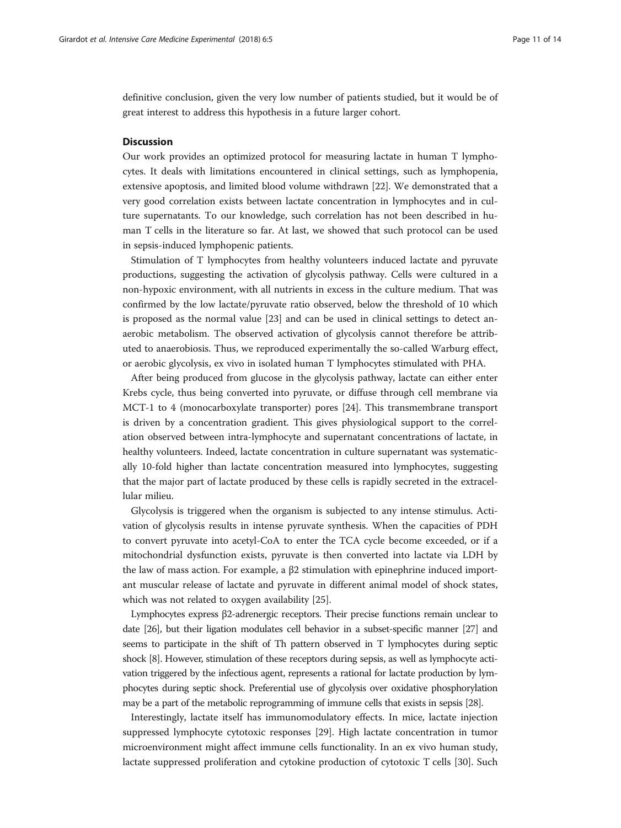definitive conclusion, given the very low number of patients studied, but it would be of great interest to address this hypothesis in a future larger cohort.

# **Discussion**

Our work provides an optimized protocol for measuring lactate in human T lymphocytes. It deals with limitations encountered in clinical settings, such as lymphopenia, extensive apoptosis, and limited blood volume withdrawn [[22\]](#page-13-0). We demonstrated that a very good correlation exists between lactate concentration in lymphocytes and in culture supernatants. To our knowledge, such correlation has not been described in human T cells in the literature so far. At last, we showed that such protocol can be used in sepsis-induced lymphopenic patients.

Stimulation of T lymphocytes from healthy volunteers induced lactate and pyruvate productions, suggesting the activation of glycolysis pathway. Cells were cultured in a non-hypoxic environment, with all nutrients in excess in the culture medium. That was confirmed by the low lactate/pyruvate ratio observed, below the threshold of 10 which is proposed as the normal value [[23](#page-13-0)] and can be used in clinical settings to detect anaerobic metabolism. The observed activation of glycolysis cannot therefore be attributed to anaerobiosis. Thus, we reproduced experimentally the so-called Warburg effect, or aerobic glycolysis, ex vivo in isolated human T lymphocytes stimulated with PHA.

After being produced from glucose in the glycolysis pathway, lactate can either enter Krebs cycle, thus being converted into pyruvate, or diffuse through cell membrane via MCT-1 to 4 (monocarboxylate transporter) pores [\[24](#page-13-0)]. This transmembrane transport is driven by a concentration gradient. This gives physiological support to the correlation observed between intra-lymphocyte and supernatant concentrations of lactate, in healthy volunteers. Indeed, lactate concentration in culture supernatant was systematically 10-fold higher than lactate concentration measured into lymphocytes, suggesting that the major part of lactate produced by these cells is rapidly secreted in the extracellular milieu.

Glycolysis is triggered when the organism is subjected to any intense stimulus. Activation of glycolysis results in intense pyruvate synthesis. When the capacities of PDH to convert pyruvate into acetyl-CoA to enter the TCA cycle become exceeded, or if a mitochondrial dysfunction exists, pyruvate is then converted into lactate via LDH by the law of mass action. For example, a  $β2$  stimulation with epinephrine induced important muscular release of lactate and pyruvate in different animal model of shock states, which was not related to oxygen availability [[25](#page-13-0)].

Lymphocytes express β2-adrenergic receptors. Their precise functions remain unclear to date [\[26](#page-13-0)], but their ligation modulates cell behavior in a subset-specific manner [[27](#page-13-0)] and seems to participate in the shift of Th pattern observed in T lymphocytes during septic shock [\[8\]](#page-12-0). However, stimulation of these receptors during sepsis, as well as lymphocyte activation triggered by the infectious agent, represents a rational for lactate production by lymphocytes during septic shock. Preferential use of glycolysis over oxidative phosphorylation may be a part of the metabolic reprogramming of immune cells that exists in sepsis [\[28\]](#page-13-0).

Interestingly, lactate itself has immunomodulatory effects. In mice, lactate injection suppressed lymphocyte cytotoxic responses [[29](#page-13-0)]. High lactate concentration in tumor microenvironment might affect immune cells functionality. In an ex vivo human study, lactate suppressed proliferation and cytokine production of cytotoxic T cells [\[30\]](#page-13-0). Such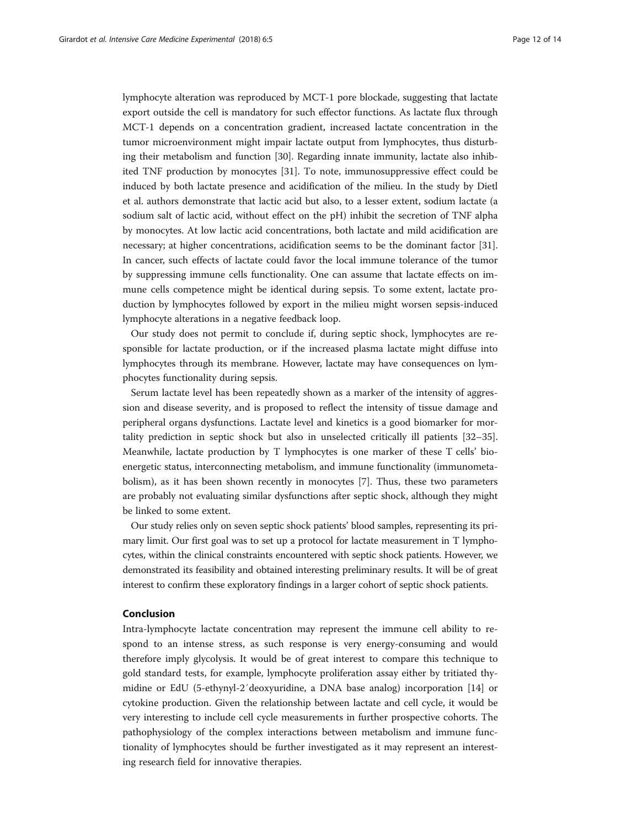lymphocyte alteration was reproduced by MCT-1 pore blockade, suggesting that lactate export outside the cell is mandatory for such effector functions. As lactate flux through MCT-1 depends on a concentration gradient, increased lactate concentration in the tumor microenvironment might impair lactate output from lymphocytes, thus disturbing their metabolism and function [[30](#page-13-0)]. Regarding innate immunity, lactate also inhibited TNF production by monocytes [[31](#page-13-0)]. To note, immunosuppressive effect could be induced by both lactate presence and acidification of the milieu. In the study by Dietl et al. authors demonstrate that lactic acid but also, to a lesser extent, sodium lactate (a sodium salt of lactic acid, without effect on the pH) inhibit the secretion of TNF alpha by monocytes. At low lactic acid concentrations, both lactate and mild acidification are necessary; at higher concentrations, acidification seems to be the dominant factor [[31](#page-13-0)]. In cancer, such effects of lactate could favor the local immune tolerance of the tumor by suppressing immune cells functionality. One can assume that lactate effects on immune cells competence might be identical during sepsis. To some extent, lactate production by lymphocytes followed by export in the milieu might worsen sepsis-induced lymphocyte alterations in a negative feedback loop.

Our study does not permit to conclude if, during septic shock, lymphocytes are responsible for lactate production, or if the increased plasma lactate might diffuse into lymphocytes through its membrane. However, lactate may have consequences on lymphocytes functionality during sepsis.

Serum lactate level has been repeatedly shown as a marker of the intensity of aggression and disease severity, and is proposed to reflect the intensity of tissue damage and peripheral organs dysfunctions. Lactate level and kinetics is a good biomarker for mortality prediction in septic shock but also in unselected critically ill patients [[32](#page-13-0)–[35](#page-13-0)]. Meanwhile, lactate production by T lymphocytes is one marker of these T cells' bioenergetic status, interconnecting metabolism, and immune functionality (immunometabolism), as it has been shown recently in monocytes [[7\]](#page-12-0). Thus, these two parameters are probably not evaluating similar dysfunctions after septic shock, although they might be linked to some extent.

Our study relies only on seven septic shock patients' blood samples, representing its primary limit. Our first goal was to set up a protocol for lactate measurement in T lymphocytes, within the clinical constraints encountered with septic shock patients. However, we demonstrated its feasibility and obtained interesting preliminary results. It will be of great interest to confirm these exploratory findings in a larger cohort of septic shock patients.

# Conclusion

Intra-lymphocyte lactate concentration may represent the immune cell ability to respond to an intense stress, as such response is very energy-consuming and would therefore imply glycolysis. It would be of great interest to compare this technique to gold standard tests, for example, lymphocyte proliferation assay either by tritiated thymidine or EdU (5-ethynyl-2′deoxyuridine, a DNA base analog) incorporation [[14](#page-12-0)] or cytokine production. Given the relationship between lactate and cell cycle, it would be very interesting to include cell cycle measurements in further prospective cohorts. The pathophysiology of the complex interactions between metabolism and immune functionality of lymphocytes should be further investigated as it may represent an interesting research field for innovative therapies.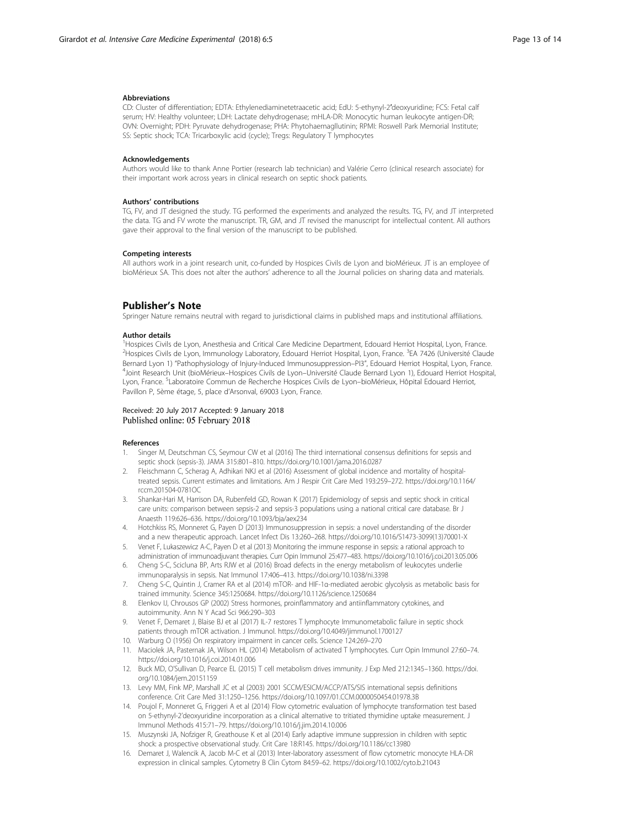#### <span id="page-12-0"></span>Abbreviations

CD: Cluster of differentiation; EDTA: Ethylenediaminetetraacetic acid; EdU: 5-ethynyl-2′deoxyuridine; FCS: Fetal calf serum; HV: Healthy volunteer; LDH: Lactate dehydrogenase; mHLA-DR: Monocytic human leukocyte antigen-DR; OVN: Overnight; PDH: Pyruvate dehydrogenase; PHA: Phytohaemagllutinin; RPMI: Roswell Park Memorial Institute; SS: Septic shock; TCA: Tricarboxylic acid (cycle); Tregs: Regulatory T lymphocytes

#### Acknowledgements

Authors would like to thank Anne Portier (research lab technician) and Valérie Cerro (clinical research associate) for their important work across years in clinical research on septic shock patients.

#### Authors' contributions

TG, FV, and JT designed the study. TG performed the experiments and analyzed the results. TG, FV, and JT interpreted the data. TG and FV wrote the manuscript. TR, GM, and JT revised the manuscript for intellectual content. All authors gave their approval to the final version of the manuscript to be published.

# Competing interests

All authors work in a joint research unit, co-funded by Hospices Civils de Lyon and bioMérieux. JT is an employee of bioMérieux SA. This does not alter the authors' adherence to all the Journal policies on sharing data and materials.

# Publisher's Note

Springer Nature remains neutral with regard to jurisdictional claims in published maps and institutional affiliations.

#### Author details

<sup>1</sup>Hospices Civils de Lyon, Anesthesia and Critical Care Medicine Department, Edouard Herriot Hospital, Lyon, France. <sup>2</sup>Hospices Civils de Lyon, Immunology Laboratory, Edouard Herriot Hospital, Lyon, France. <sup>3</sup>EA 7426 (Université Claude Bernard Lyon 1) "Pathophysiology of Injury-Induced Immunosuppression–PI3", Edouard Herriot Hospital, Lyon, France. <sup>4</sup> <sup>4</sup>Joint Research Unit (bioMérieux–Hospices Civils de Lyon–Université Claude Bernard Lyon 1), Edouard Herriot Hospital, Lyon, France. <sup>5</sup>Laboratoire Commun de Recherche Hospices Civils de Lyon–bioMérieux, Hôpital Edouard Herriot, Pavillon P, 5ème étage, 5, place d'Arsonval, 69003 Lyon, France.

### Received: 20 July 2017 Accepted: 9 January 2018 Published online: 05 February 2018

#### References

- 1. Singer M, Deutschman CS, Seymour CW et al (2016) The third international consensus definitions for sepsis and septic shock (sepsis-3). JAMA 315:801–810. [https://doi.org/10.1001/jama.2016.0287](http://dx.doi.org/10.1001/jama.2016.0287)
- 2. Fleischmann C, Scherag A, Adhikari NKJ et al (2016) Assessment of global incidence and mortality of hospitaltreated sepsis. Current estimates and limitations. Am J Respir Crit Care Med 193:259–272. [https://doi.org/10.1164/](http://dx.doi.org/10.1164/rccm.201504-0781OC) [rccm.201504-0781OC](http://dx.doi.org/10.1164/rccm.201504-0781OC)
- 3. Shankar-Hari M, Harrison DA, Rubenfeld GD, Rowan K (2017) Epidemiology of sepsis and septic shock in critical care units: comparison between sepsis-2 and sepsis-3 populations using a national critical care database. Br J Anaesth 119:626–636. [https://doi.org/10.1093/bja/aex234](http://dx.doi.org/10.1093/bja/aex234)
- 4. Hotchkiss RS, Monneret G, Payen D (2013) Immunosuppression in sepsis: a novel understanding of the disorder and a new therapeutic approach. Lancet Infect Dis 13:260–268. [https://doi.org/10.1016/S1473-3099\(13\)70001-X](http://dx.doi.org/10.1016/S1473-3099(13)70001-X)
- 5. Venet F, Lukaszewicz A-C, Payen D et al (2013) Monitoring the immune response in sepsis: a rational approach to administration of immunoadjuvant therapies. Curr Opin Immunol 25:477–483. [https://doi.org/10.1016/j.coi.2013.05.006](http://dx.doi.org/10.1016/j.coi.2013.05.006)
- 6. Cheng S-C, Scicluna BP, Arts RJW et al (2016) Broad defects in the energy metabolism of leukocytes underlie immunoparalysis in sepsis. Nat Immunol 17:406–413. [https://doi.org/10.1038/ni.3398](http://dx.doi.org/10.1038/ni.3398)
- 7. Cheng S-C, Quintin J, Cramer RA et al (2014) mTOR- and HIF-1α-mediated aerobic glycolysis as metabolic basis for trained immunity. Science 345:1250684. [https://doi.org/10.1126/science.1250684](http://dx.doi.org/10.1126/science.1250684)
- 8. Elenkov IJ, Chrousos GP (2002) Stress hormones, proinflammatory and antiinflammatory cytokines, and autoimmunity. Ann N Y Acad Sci 966:290–303
- 9. Venet F, Demaret J, Blaise BJ et al (2017) IL-7 restores T lymphocyte Immunometabolic failure in septic shock patients through mTOR activation. J Immunol. [https://doi.org/10.4049/jimmunol.1700127](http://dx.doi.org/10.4049/jimmunol.1700127)
- 10. Warburg O (1956) On respiratory impairment in cancer cells. Science 124:269–270
- 11. Maciolek JA, Pasternak JA, Wilson HL (2014) Metabolism of activated T lymphocytes. Curr Opin Immunol 27:60–74. [https://doi.org/10.1016/j.coi.2014.01.006](http://dx.doi.org/10.1016/j.coi.2014.01.006)
- 12. Buck MD, O'Sullivan D, Pearce EL (2015) T cell metabolism drives immunity. J Exp Med 212:1345–1360. [https://doi.](http://dx.doi.org/10.1084/jem.20151159) [org/10.1084/jem.20151159](http://dx.doi.org/10.1084/jem.20151159)
- 13. Levy MM, Fink MP, Marshall JC et al (2003) 2001 SCCM/ESICM/ACCP/ATS/SIS international sepsis definitions conference. Crit Care Med 31:1250–1256. [https://doi.org/10.1097/01.CCM.0000050454.01978.3B](http://dx.doi.org/10.1097/01.CCM.0000050454.01978.3B)
- 14. Poujol F, Monneret G, Friggeri A et al (2014) Flow cytometric evaluation of lymphocyte transformation test based on 5-ethynyl-2'deoxyuridine incorporation as a clinical alternative to tritiated thymidine uptake measurement. J Immunol Methods 415:71–79. [https://doi.org/10.1016/j.jim.2014.10.006](http://dx.doi.org/10.1016/j.jim.2014.10.006)
- 15. Muszynski JA, Nofziger R, Greathouse K et al (2014) Early adaptive immune suppression in children with septic shock: a prospective observational study. Crit Care 18:R145. [https://doi.org/10.1186/cc13980](http://dx.doi.org/10.1186/cc13980)
- 16. Demaret J, Walencik A, Jacob M-C et al (2013) Inter-laboratory assessment of flow cytometric monocyte HLA-DR expression in clinical samples. Cytometry B Clin Cytom 84:59–62. [https://doi.org/10.1002/cyto.b.21043](http://dx.doi.org/10.1002/cyto.b.21043)